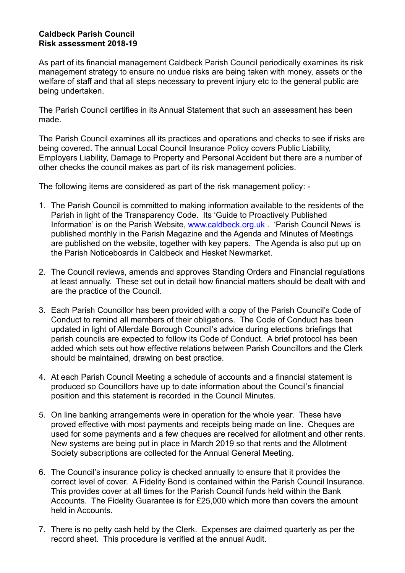## **Caldbeck Parish Council Risk assessment 2018-19**

As part of its financial management Caldbeck Parish Council periodically examines its risk management strategy to ensure no undue risks are being taken with money, assets or the welfare of staff and that all steps necessary to prevent injury etc to the general public are being undertaken.

The Parish Council certifies in its Annual Statement that such an assessment has been made.

The Parish Council examines all its practices and operations and checks to see if risks are being covered. The annual Local Council Insurance Policy covers Public Liability, Employers Liability, Damage to Property and Personal Accident but there are a number of other checks the council makes as part of its risk management policies.

The following items are considered as part of the risk management policy: -

- 1. The Parish Council is committed to making information available to the residents of the Parish in light of the Transparency Code. Its 'Guide to Proactively Published Information' is on the Parish Website, [www.caldbeck.org.uk](http://www.caldbeck.org.uk) . 'Parish Council News' is published monthly in the Parish Magazine and the Agenda and Minutes of Meetings are published on the website, together with key papers. The Agenda is also put up on the Parish Noticeboards in Caldbeck and Hesket Newmarket.
- 2. The Council reviews, amends and approves Standing Orders and Financial regulations at least annually. These set out in detail how financial matters should be dealt with and are the practice of the Council.
- 3. Each Parish Councillor has been provided with a copy of the Parish Council's Code of Conduct to remind all members of their obligations. The Code of Conduct has been updated in light of Allerdale Borough Council's advice during elections briefings that parish councils are expected to follow its Code of Conduct. A brief protocol has been added which sets out how effective relations between Parish Councillors and the Clerk should be maintained, drawing on best practice.
- 4. At each Parish Council Meeting a schedule of accounts and a financial statement is produced so Councillors have up to date information about the Council's financial position and this statement is recorded in the Council Minutes.
- 5. On line banking arrangements were in operation for the whole year. These have proved effective with most payments and receipts being made on line. Cheques are used for some payments and a few cheques are received for allotment and other rents. New systems are being put in place in March 2019 so that rents and the Allotment Society subscriptions are collected for the Annual General Meeting.
- 6. The Council's insurance policy is checked annually to ensure that it provides the correct level of cover. A Fidelity Bond is contained within the Parish Council Insurance. This provides cover at all times for the Parish Council funds held within the Bank Accounts. The Fidelity Guarantee is for £25,000 which more than covers the amount held in Accounts.
- 7. There is no petty cash held by the Clerk. Expenses are claimed quarterly as per the record sheet. This procedure is verified at the annual Audit.